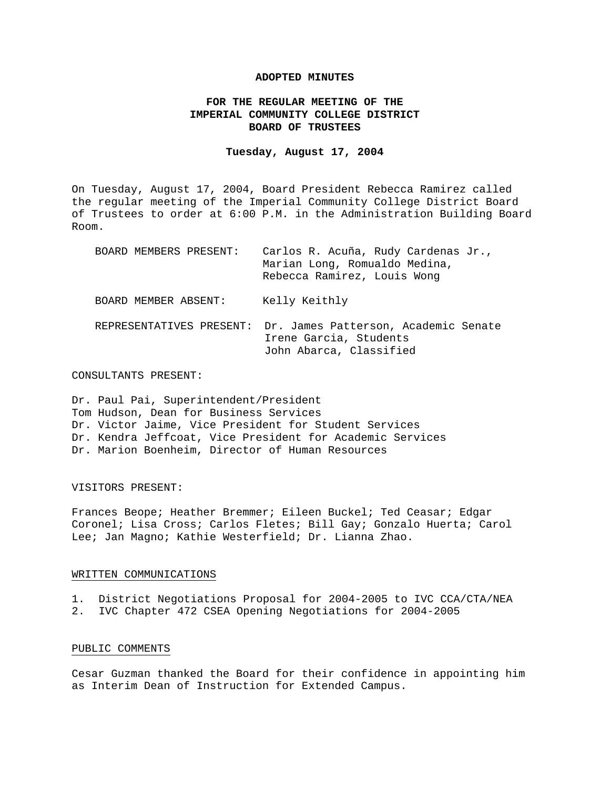### **ADOPTED MINUTES**

# **FOR THE REGULAR MEETING OF THE IMPERIAL COMMUNITY COLLEGE DISTRICT BOARD OF TRUSTEES**

#### **Tuesday, August 17, 2004**

On Tuesday, August 17, 2004, Board President Rebecca Ramirez called the regular meeting of the Imperial Community College District Board of Trustees to order at 6:00 P.M. in the Administration Building Board Room.

| BOARD MEMBERS PRESENT:   | Carlos R. Acuña, Rudy Cardenas Jr.,<br>Marian Long, Romualdo Medina,<br>Rebecca Ramirez, Louis Wong |
|--------------------------|-----------------------------------------------------------------------------------------------------|
| BOARD MEMBER ABSENT:     | Kelly Keithly                                                                                       |
| REPRESENTATIVES PRESENT: | Dr. James Patterson, Academic Senate<br>Irene Garcia, Students<br>John Abarca, Classified           |

#### CONSULTANTS PRESENT:

Dr. Paul Pai, Superintendent/President Tom Hudson, Dean for Business Services Dr. Victor Jaime, Vice President for Student Services Dr. Kendra Jeffcoat, Vice President for Academic Services Dr. Marion Boenheim, Director of Human Resources

# VISITORS PRESENT:

Frances Beope; Heather Bremmer; Eileen Buckel; Ted Ceasar; Edgar Coronel; Lisa Cross; Carlos Fletes; Bill Gay; Gonzalo Huerta; Carol Lee; Jan Magno; Kathie Westerfield; Dr. Lianna Zhao.

# WRITTEN COMMUNICATIONS

1. District Negotiations Proposal for 2004-2005 to IVC CCA/CTA/NEA

2. IVC Chapter 472 CSEA Opening Negotiations for 2004-2005

# PUBLIC COMMENTS

Cesar Guzman thanked the Board for their confidence in appointing him as Interim Dean of Instruction for Extended Campus.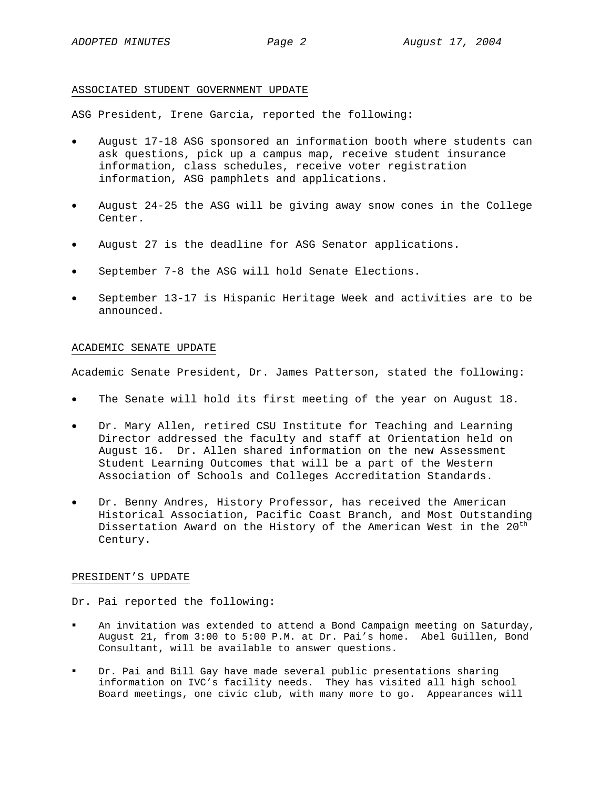## ASSOCIATED STUDENT GOVERNMENT UPDATE

ASG President, Irene Garcia, reported the following:

- August 17-18 ASG sponsored an information booth where students can ask questions, pick up a campus map, receive student insurance information, class schedules, receive voter registration information, ASG pamphlets and applications.
- August 24-25 the ASG will be giving away snow cones in the College Center.
- August 27 is the deadline for ASG Senator applications.
- September 7-8 the ASG will hold Senate Elections.
- September 13-17 is Hispanic Heritage Week and activities are to be announced.

# ACADEMIC SENATE UPDATE

Academic Senate President, Dr. James Patterson, stated the following:

- The Senate will hold its first meeting of the year on August 18.
- Dr. Mary Allen, retired CSU Institute for Teaching and Learning Director addressed the faculty and staff at Orientation held on August 16. Dr. Allen shared information on the new Assessment Student Learning Outcomes that will be a part of the Western Association of Schools and Colleges Accreditation Standards.
- Dr. Benny Andres, History Professor, has received the American Historical Association, Pacific Coast Branch, and Most Outstanding Dissertation Award on the History of the American West in the  $20^{\text{th}}$ Century.

# PRESIDENT'S UPDATE

Dr. Pai reported the following:

- An invitation was extended to attend a Bond Campaign meeting on Saturday, August 21, from 3:00 to 5:00 P.M. at Dr. Pai's home. Abel Guillen, Bond Consultant, will be available to answer questions.
- Dr. Pai and Bill Gay have made several public presentations sharing information on IVC's facility needs. They has visited all high school Board meetings, one civic club, with many more to go. Appearances will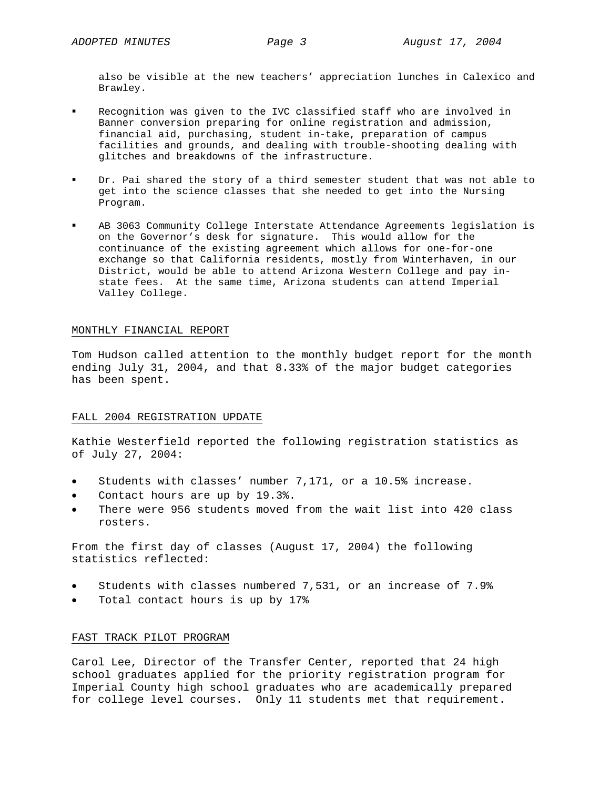also be visible at the new teachers' appreciation lunches in Calexico and Brawley.

- Recognition was given to the IVC classified staff who are involved in Banner conversion preparing for online registration and admission, financial aid, purchasing, student in-take, preparation of campus facilities and grounds, and dealing with trouble-shooting dealing with glitches and breakdowns of the infrastructure.
- Dr. Pai shared the story of a third semester student that was not able to get into the science classes that she needed to get into the Nursing Program.
- AB 3063 Community College Interstate Attendance Agreements legislation is on the Governor's desk for signature. This would allow for the continuance of the existing agreement which allows for one-for-one exchange so that California residents, mostly from Winterhaven, in our District, would be able to attend Arizona Western College and pay instate fees. At the same time, Arizona students can attend Imperial Valley College.

#### MONTHLY FINANCIAL REPORT

Tom Hudson called attention to the monthly budget report for the month ending July 31, 2004, and that 8.33% of the major budget categories has been spent.

# FALL 2004 REGISTRATION UPDATE

Kathie Westerfield reported the following registration statistics as of July 27, 2004:

- Students with classes' number 7,171, or a 10.5% increase.
- Contact hours are up by 19.3%.
- There were 956 students moved from the wait list into 420 class rosters.

From the first day of classes (August 17, 2004) the following statistics reflected:

- Students with classes numbered 7,531, or an increase of 7.9%
- Total contact hours is up by 17%

# FAST TRACK PILOT PROGRAM

Carol Lee, Director of the Transfer Center, reported that 24 high school graduates applied for the priority registration program for Imperial County high school graduates who are academically prepared for college level courses. Only 11 students met that requirement.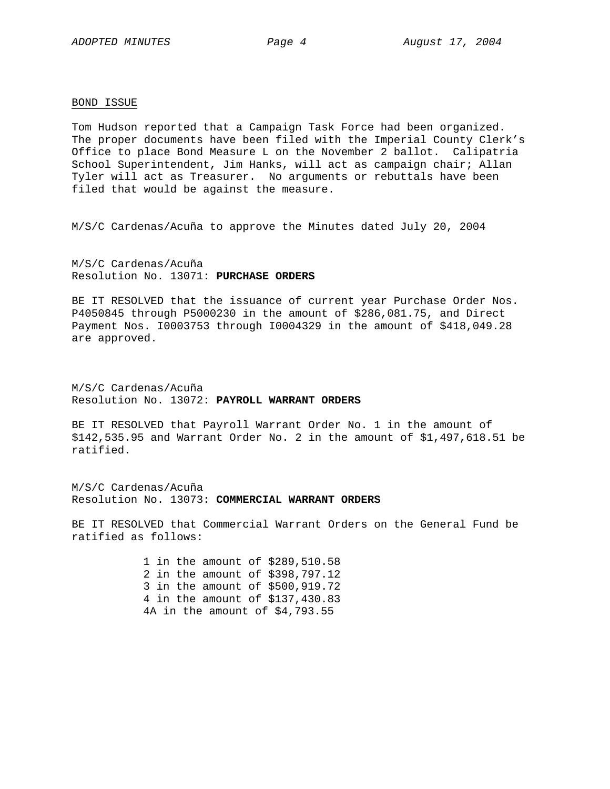#### BOND ISSUE

Tom Hudson reported that a Campaign Task Force had been organized. The proper documents have been filed with the Imperial County Clerk's Office to place Bond Measure L on the November 2 ballot. Calipatria School Superintendent, Jim Hanks, will act as campaign chair; Allan Tyler will act as Treasurer. No arguments or rebuttals have been filed that would be against the measure.

M/S/C Cardenas/Acuña to approve the Minutes dated July 20, 2004

M/S/C Cardenas/Acuña Resolution No. 13071: **PURCHASE ORDERS**

BE IT RESOLVED that the issuance of current year Purchase Order Nos. P4050845 through P5000230 in the amount of \$286,081.75, and Direct Payment Nos. I0003753 through I0004329 in the amount of \$418,049.28 are approved.

M/S/C Cardenas/Acuña Resolution No. 13072: **PAYROLL WARRANT ORDERS**

BE IT RESOLVED that Payroll Warrant Order No. 1 in the amount of \$142,535.95 and Warrant Order No. 2 in the amount of \$1,497,618.51 be ratified.

M/S/C Cardenas/Acuña Resolution No. 13073: **COMMERCIAL WARRANT ORDERS**

BE IT RESOLVED that Commercial Warrant Orders on the General Fund be ratified as follows:

> 1 in the amount of \$289,510.58 2 in the amount of \$398,797.12 3 in the amount of \$500,919.72 4 in the amount of \$137,430.83 4A in the amount of \$4,793.55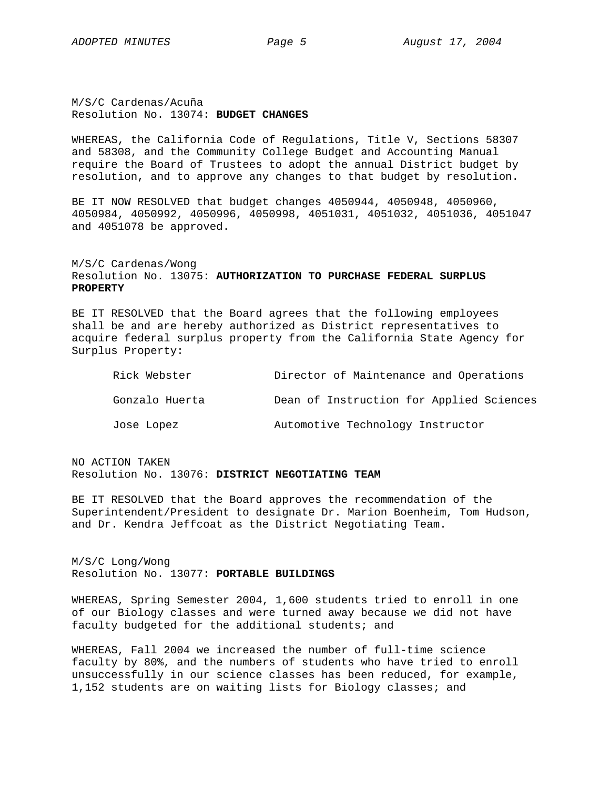M/S/C Cardenas/Acuña Resolution No. 13074: **BUDGET CHANGES** 

WHEREAS, the California Code of Regulations, Title V, Sections 58307 and 58308, and the Community College Budget and Accounting Manual require the Board of Trustees to adopt the annual District budget by resolution, and to approve any changes to that budget by resolution.

BE IT NOW RESOLVED that budget changes 4050944, 4050948, 4050960, 4050984, 4050992, 4050996, 4050998, 4051031, 4051032, 4051036, 4051047 and 4051078 be approved.

# M/S/C Cardenas/Wong Resolution No. 13075: **AUTHORIZATION TO PURCHASE FEDERAL SURPLUS PROPERTY**

BE IT RESOLVED that the Board agrees that the following employees shall be and are hereby authorized as District representatives to acquire federal surplus property from the California State Agency for Surplus Property:

| Rick Webster   | Director of Maintenance and Operations   |
|----------------|------------------------------------------|
| Gonzalo Huerta | Dean of Instruction for Applied Sciences |
| Jose Lopez     | Automotive Technology Instructor         |

NO ACTION TAKEN Resolution No. 13076: **DISTRICT NEGOTIATING TEAM**

BE IT RESOLVED that the Board approves the recommendation of the Superintendent/President to designate Dr. Marion Boenheim, Tom Hudson, and Dr. Kendra Jeffcoat as the District Negotiating Team.

M/S/C Long/Wong Resolution No. 13077: **PORTABLE BUILDINGS**

WHEREAS, Spring Semester 2004, 1,600 students tried to enroll in one of our Biology classes and were turned away because we did not have faculty budgeted for the additional students; and

WHEREAS, Fall 2004 we increased the number of full-time science faculty by 80%, and the numbers of students who have tried to enroll unsuccessfully in our science classes has been reduced, for example, 1,152 students are on waiting lists for Biology classes; and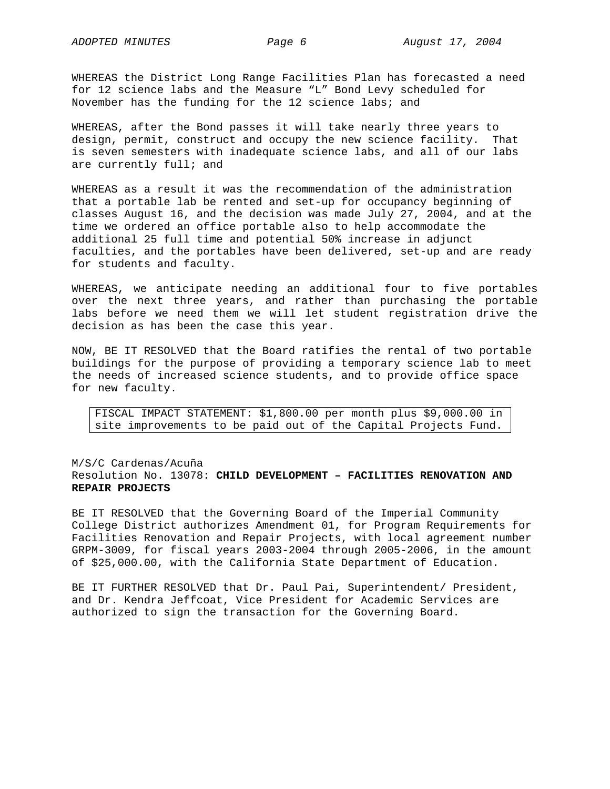WHEREAS the District Long Range Facilities Plan has forecasted a need for 12 science labs and the Measure "L" Bond Levy scheduled for November has the funding for the 12 science labs; and

WHEREAS, after the Bond passes it will take nearly three years to design, permit, construct and occupy the new science facility. That is seven semesters with inadequate science labs, and all of our labs are currently full; and

WHEREAS as a result it was the recommendation of the administration that a portable lab be rented and set-up for occupancy beginning of classes August 16, and the decision was made July 27, 2004, and at the time we ordered an office portable also to help accommodate the additional 25 full time and potential 50% increase in adjunct faculties, and the portables have been delivered, set-up and are ready for students and faculty.

WHEREAS, we anticipate needing an additional four to five portables over the next three years, and rather than purchasing the portable labs before we need them we will let student registration drive the decision as has been the case this year.

NOW, BE IT RESOLVED that the Board ratifies the rental of two portable buildings for the purpose of providing a temporary science lab to meet the needs of increased science students, and to provide office space for new faculty.

FISCAL IMPACT STATEMENT: \$1,800.00 per month plus \$9,000.00 in site improvements to be paid out of the Capital Projects Fund.

# M/S/C Cardenas/Acuña Resolution No. 13078: **CHILD DEVELOPMENT – FACILITIES RENOVATION AND REPAIR PROJECTS**

BE IT RESOLVED that the Governing Board of the Imperial Community College District authorizes Amendment 01, for Program Requirements for Facilities Renovation and Repair Projects, with local agreement number GRPM-3009, for fiscal years 2003-2004 through 2005-2006, in the amount of \$25,000.00, with the California State Department of Education.

BE IT FURTHER RESOLVED that Dr. Paul Pai, Superintendent/ President, and Dr. Kendra Jeffcoat, Vice President for Academic Services are authorized to sign the transaction for the Governing Board.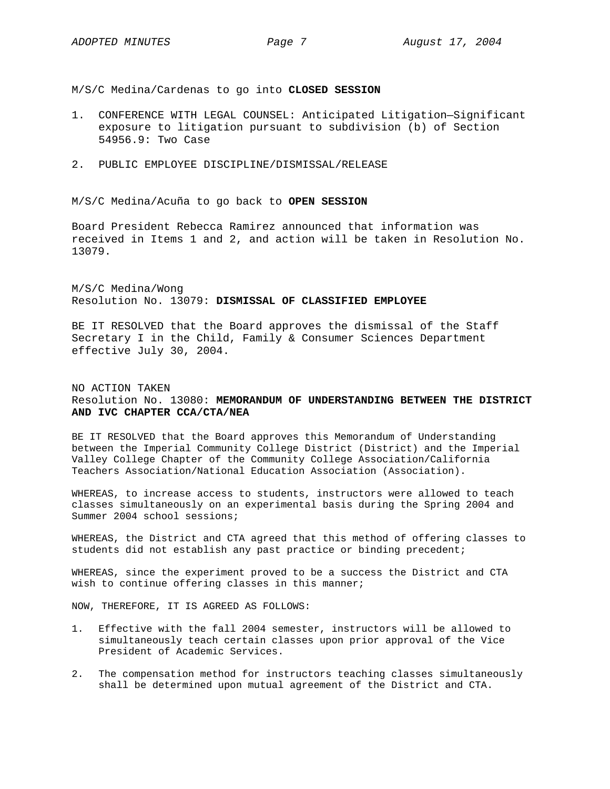M/S/C Medina/Cardenas to go into **CLOSED SESSION**

- 1. CONFERENCE WITH LEGAL COUNSEL: Anticipated Litigation—Significant exposure to litigation pursuant to subdivision (b) of Section 54956.9: Two Case
- 2. PUBLIC EMPLOYEE DISCIPLINE/DISMISSAL/RELEASE

M/S/C Medina/Acuña to go back to **OPEN SESSION** 

Board President Rebecca Ramirez announced that information was received in Items 1 and 2, and action will be taken in Resolution No. 13079.

M/S/C Medina/Wong Resolution No. 13079: **DISMISSAL OF CLASSIFIED EMPLOYEE**

BE IT RESOLVED that the Board approves the dismissal of the Staff Secretary I in the Child, Family & Consumer Sciences Department effective July 30, 2004.

# NO ACTION TAKEN Resolution No. 13080: **MEMORANDUM OF UNDERSTANDING BETWEEN THE DISTRICT AND IVC CHAPTER CCA/CTA/NEA**

BE IT RESOLVED that the Board approves this Memorandum of Understanding between the Imperial Community College District (District) and the Imperial Valley College Chapter of the Community College Association/California Teachers Association/National Education Association (Association).

WHEREAS, to increase access to students, instructors were allowed to teach classes simultaneously on an experimental basis during the Spring 2004 and Summer 2004 school sessions;

WHEREAS, the District and CTA agreed that this method of offering classes to students did not establish any past practice or binding precedent;

WHEREAS, since the experiment proved to be a success the District and CTA wish to continue offering classes in this manner;

NOW, THEREFORE, IT IS AGREED AS FOLLOWS:

- 1. Effective with the fall 2004 semester, instructors will be allowed to simultaneously teach certain classes upon prior approval of the Vice President of Academic Services.
- 2. The compensation method for instructors teaching classes simultaneously shall be determined upon mutual agreement of the District and CTA.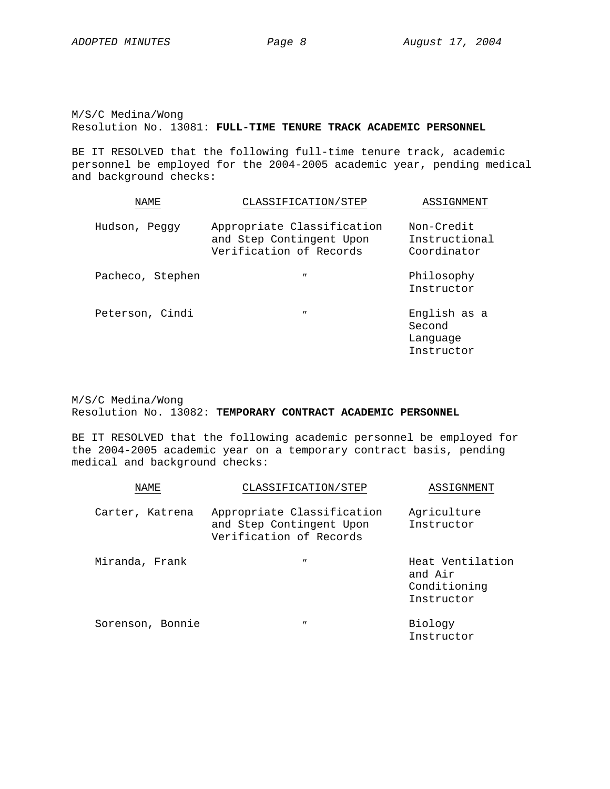M/S/C Medina/Wong Resolution No. 13081: **FULL-TIME TENURE TRACK ACADEMIC PERSONNEL**

BE IT RESOLVED that the following full-time tenure track, academic personnel be employed for the 2004-2005 academic year, pending medical and background checks:

| NAME.            | CLASSIFICATION/STEP                                                               | ASSIGNMENT                                       |  |
|------------------|-----------------------------------------------------------------------------------|--------------------------------------------------|--|
| Hudson, Peggy    | Appropriate Classification<br>and Step Contingent Upon<br>Verification of Records | Non-Credit<br>Instructional<br>Coordinator       |  |
| Pacheco, Stephen | $^{\prime\prime}$                                                                 | Philosophy<br>Instructor                         |  |
| Peterson, Cindi  | $^{\prime\prime}$                                                                 | English as a<br>Second<br>Lanquage<br>Instructor |  |

M/S/C Medina/Wong Resolution No. 13082: **TEMPORARY CONTRACT ACADEMIC PERSONNEL**

BE IT RESOLVED that the following academic personnel be employed for the 2004-2005 academic year on a temporary contract basis, pending medical and background checks:

| NAME.            | CLASSIFICATION/STEP                                                               | ASSIGNMENT                                                |
|------------------|-----------------------------------------------------------------------------------|-----------------------------------------------------------|
| Carter, Katrena  | Appropriate Classification<br>and Step Contingent Upon<br>Verification of Records | Agriculture<br>Instructor                                 |
| Miranda, Frank   | $^{\prime\prime}$                                                                 | Heat Ventilation<br>and Air<br>Conditioning<br>Instructor |
| Sorenson, Bonnie | $^{\prime\prime}$                                                                 | Biology<br>Instructor                                     |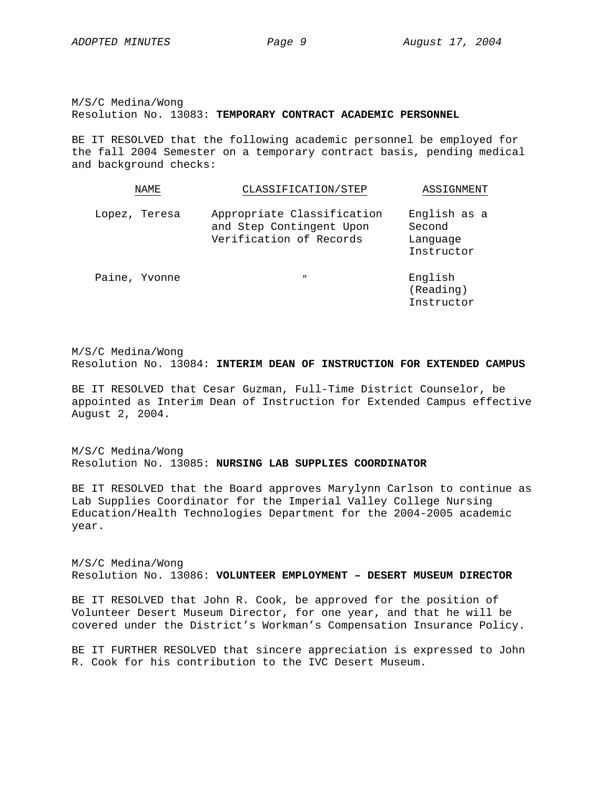Instructor

M/S/C Medina/Wong Resolution No. 13083: **TEMPORARY CONTRACT ACADEMIC PERSONNEL**

BE IT RESOLVED that the following academic personnel be employed for the fall 2004 Semester on a temporary contract basis, pending medical and background checks:

| NAME          | CLASSIFICATION/STEP                                                               | ASSIGNMENT                                       |
|---------------|-----------------------------------------------------------------------------------|--------------------------------------------------|
| Lopez, Teresa | Appropriate Classification<br>and Step Contingent Upon<br>Verification of Records | English as a<br>Second<br>Language<br>Instructor |
| Paine, Yvonne | $^{\prime\prime}$                                                                 | English<br>(Reading)                             |

M/S/C Medina/Wong Resolution No. 13084: **INTERIM DEAN OF INSTRUCTION FOR EXTENDED CAMPUS**

BE IT RESOLVED that Cesar Guzman, Full-Time District Counselor, be appointed as Interim Dean of Instruction for Extended Campus effective August 2, 2004.

M/S/C Medina/Wong Resolution No. 13085: **NURSING LAB SUPPLIES COORDINATOR**

BE IT RESOLVED that the Board approves Marylynn Carlson to continue as Lab Supplies Coordinator for the Imperial Valley College Nursing Education/Health Technologies Department for the 2004-2005 academic year.

M/S/C Medina/Wong Resolution No. 13086: **VOLUNTEER EMPLOYMENT – DESERT MUSEUM DIRECTOR**

BE IT RESOLVED that John R. Cook, be approved for the position of Volunteer Desert Museum Director, for one year, and that he will be covered under the District's Workman's Compensation Insurance Policy.

BE IT FURTHER RESOLVED that sincere appreciation is expressed to John R. Cook for his contribution to the IVC Desert Museum.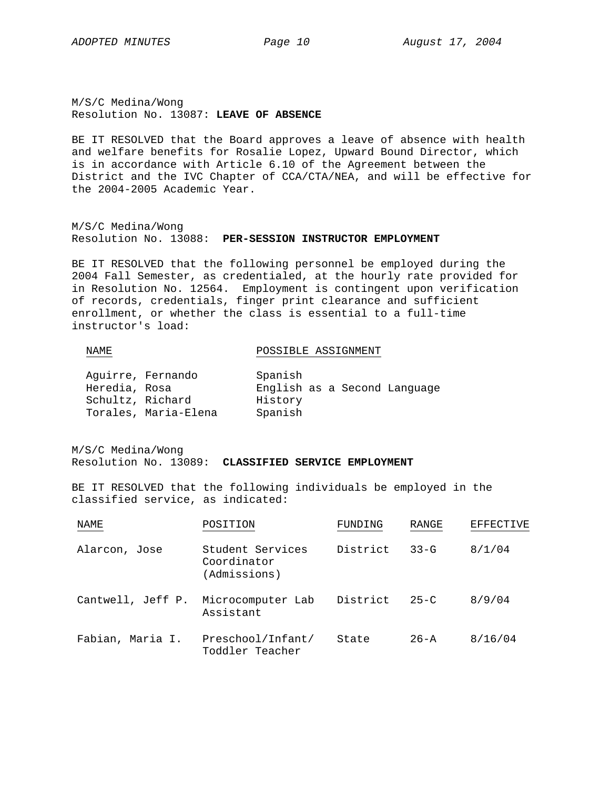M/S/C Medina/Wong Resolution No. 13087: **LEAVE OF ABSENCE**

BE IT RESOLVED that the Board approves a leave of absence with health and welfare benefits for Rosalie Lopez, Upward Bound Director, which is in accordance with Article 6.10 of the Agreement between the District and the IVC Chapter of CCA/CTA/NEA, and will be effective for the 2004-2005 Academic Year.

M/S/C Medina/Wong Resolution No. 13088: **PER-SESSION INSTRUCTOR EMPLOYMENT**

BE IT RESOLVED that the following personnel be employed during the 2004 Fall Semester, as credentialed, at the hourly rate provided for in Resolution No. 12564. Employment is contingent upon verification of records, credentials, finger print clearance and sufficient enrollment, or whether the class is essential to a full-time instructor's load:

# NAME POSSIBLE ASSIGNMENT

| Aquirre, Fernando |                      | Spanish                      |  |  |
|-------------------|----------------------|------------------------------|--|--|
| Heredia, Rosa     |                      | English as a Second Language |  |  |
| Schultz, Richard  |                      | History                      |  |  |
|                   | Torales, Maria-Elena | Spanish                      |  |  |

M/S/C Medina/Wong Resolution No. 13089: **CLASSIFIED SERVICE EMPLOYMENT**

BE IT RESOLVED that the following individuals be employed in the classified service, as indicated:

| NAME              | POSITION                                        | FUNDING  | RANGE    | EFFECTIVE |
|-------------------|-------------------------------------------------|----------|----------|-----------|
| Alarcon, Jose     | Student Services<br>Coordinator<br>(Admissions) | District | $33 - G$ | 8/1/04    |
| Cantwell, Jeff P. | Microcomputer Lab<br>Assistant                  | District | $25 - C$ | 8/9/04    |
| Fabian, Maria I.  | Preschool/Infant/<br>Toddler Teacher            | State    | $26 - A$ | 8/16/04   |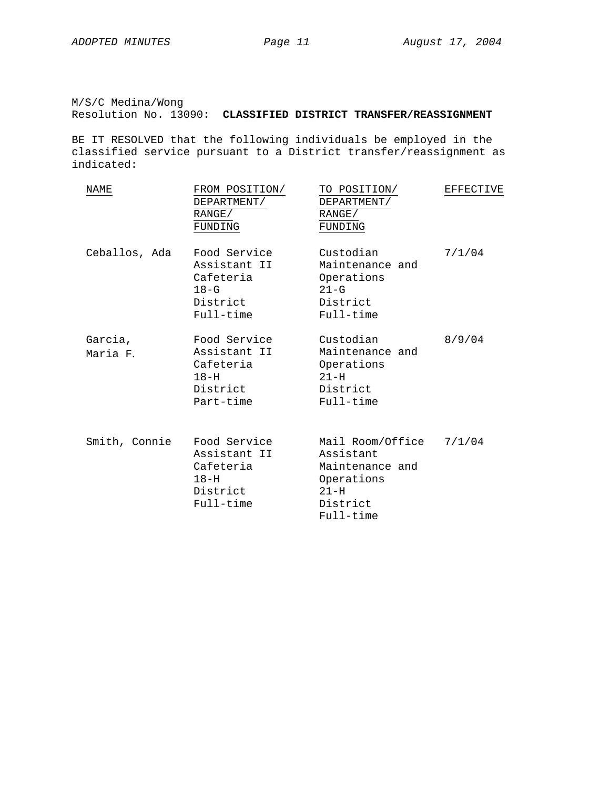M/S/C Medina/Wong Resolution No. 13090: **CLASSIFIED DISTRICT TRANSFER/REASSIGNMENT**

BE IT RESOLVED that the following individuals be employed in the classified service pursuant to a District transfer/reassignment as indicated:

| NAME                | FROM POSITION/<br>DEPARTMENT/<br>RANGE/<br>FUNDING                           | TO POSITION/<br>DEPARTMENT/<br>RANGE/<br>FUNDING                                                  | EFFECTIVE |
|---------------------|------------------------------------------------------------------------------|---------------------------------------------------------------------------------------------------|-----------|
| Ceballos, Ada       | Food Service<br>Assistant II<br>Cafeteria<br>$18-G$<br>District<br>Full-time | Custodian<br>Maintenance and<br>Operations<br>$21-G$<br>District<br>Full-time                     | 7/1/04    |
| Garcia,<br>Maria F. | Food Service<br>Assistant II<br>Cafeteria<br>$18-H$<br>District<br>Part-time | Custodian<br>Maintenance and<br>Operations<br>$21-H$<br>District<br>Full-time                     | 8/9/04    |
| Smith, Connie       | Food Service<br>Assistant II<br>Cafeteria<br>$18-H$<br>District<br>Full-time | Mail Room/Office<br>Assistant<br>Maintenance and<br>Operations<br>$21-H$<br>District<br>Full-time | 7/1/04    |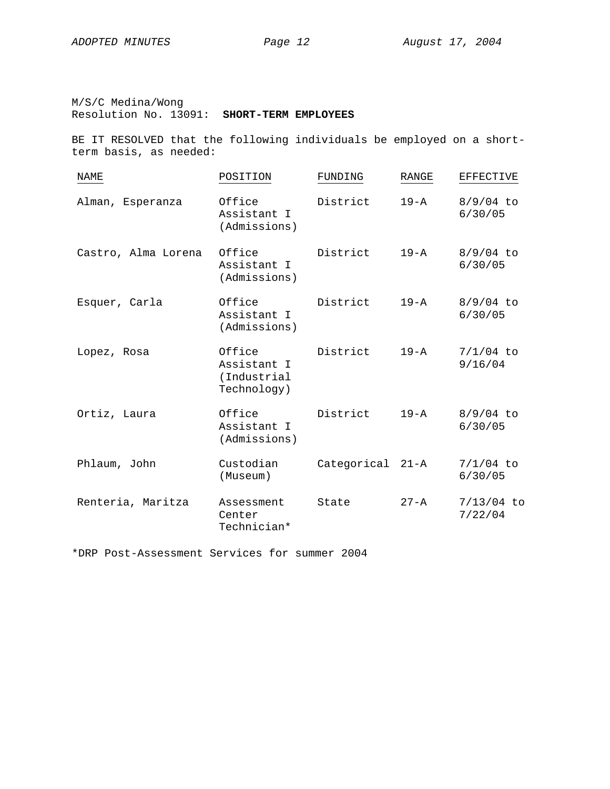M/S/C Medina/Wong Resolution No. 13091: **SHORT-TERM EMPLOYEES**

BE IT RESOLVED that the following individuals be employed on a shortterm basis, as needed:

| <b>NAME</b>         | POSITION                                            | FUNDING          | RANGE    | <b>EFFECTIVE</b>        |
|---------------------|-----------------------------------------------------|------------------|----------|-------------------------|
| Alman, Esperanza    | Office<br>Assistant I<br>(Admissions)               | District         | $19 - A$ | $8/9/04$ to<br>6/30/05  |
| Castro, Alma Lorena | Office<br>Assistant I<br>(Admissions)               | District         | $19 - A$ | $8/9/04$ to<br>6/30/05  |
| Esquer, Carla       | Office<br>Assistant I<br>(Admissions)               | District         | $19 - A$ | $8/9/04$ to<br>6/30/05  |
| Lopez, Rosa         | Office<br>Assistant I<br>(Industrial<br>Technology) | District         | $19 - A$ | $7/1/04$ to<br>9/16/04  |
| Ortiz, Laura        | Office<br>Assistant I<br>(Admissions)               | District         | $19 - A$ | $8/9/04$ to<br>6/30/05  |
| Phlaum, John        | Custodian<br>(Museum)                               | Categorical 21-A |          | $7/1/04$ to<br>6/30/05  |
| Renteria, Maritza   | Assessment<br>Center<br>Technician*                 | State            | $27 - A$ | $7/13/04$ to<br>7/22/04 |

\*DRP Post-Assessment Services for summer 2004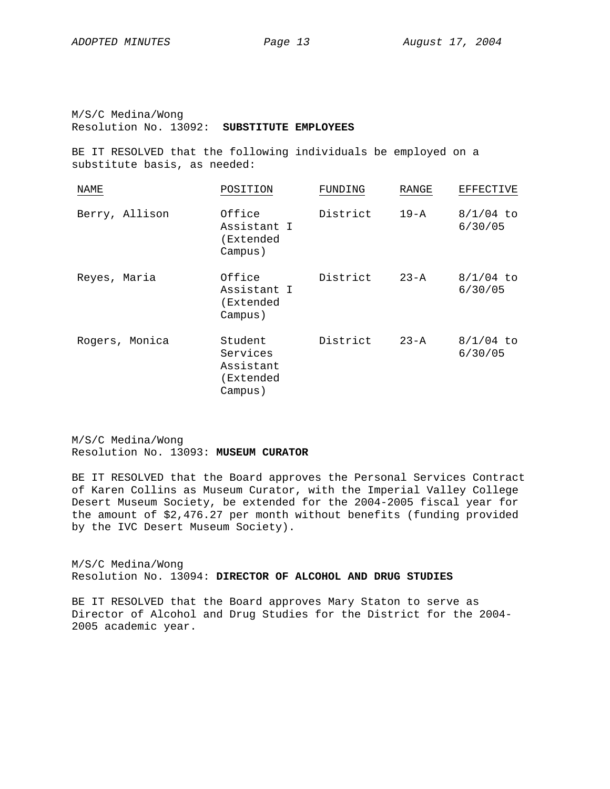M/S/C Medina/Wong Resolution No. 13092: **SUBSTITUTE EMPLOYEES**

BE IT RESOLVED that the following individuals be employed on a substitute basis, as needed:

| NAME           | POSITION                                                 | FUNDING  | RANGE    | EFFECTIVE              |
|----------------|----------------------------------------------------------|----------|----------|------------------------|
| Berry, Allison | Office<br>Assistant I<br>(Extended<br>Campus)            | District | $19 - A$ | $8/1/04$ to<br>6/30/05 |
| Reyes, Maria   | Office<br>Assistant I<br>(Extended<br>Campus)            | District | $23 - A$ | $8/1/04$ to<br>6/30/05 |
| Rogers, Monica | Student<br>Services<br>Assistant<br>(Extended<br>Campus) | District | $23 - A$ | $8/1/04$ to<br>6/30/05 |

M/S/C Medina/Wong Resolution No. 13093: **MUSEUM CURATOR**

BE IT RESOLVED that the Board approves the Personal Services Contract of Karen Collins as Museum Curator, with the Imperial Valley College Desert Museum Society, be extended for the 2004-2005 fiscal year for the amount of \$2,476.27 per month without benefits (funding provided by the IVC Desert Museum Society).

M/S/C Medina/Wong Resolution No. 13094: **DIRECTOR OF ALCOHOL AND DRUG STUDIES**

BE IT RESOLVED that the Board approves Mary Staton to serve as Director of Alcohol and Drug Studies for the District for the 2004- 2005 academic year.